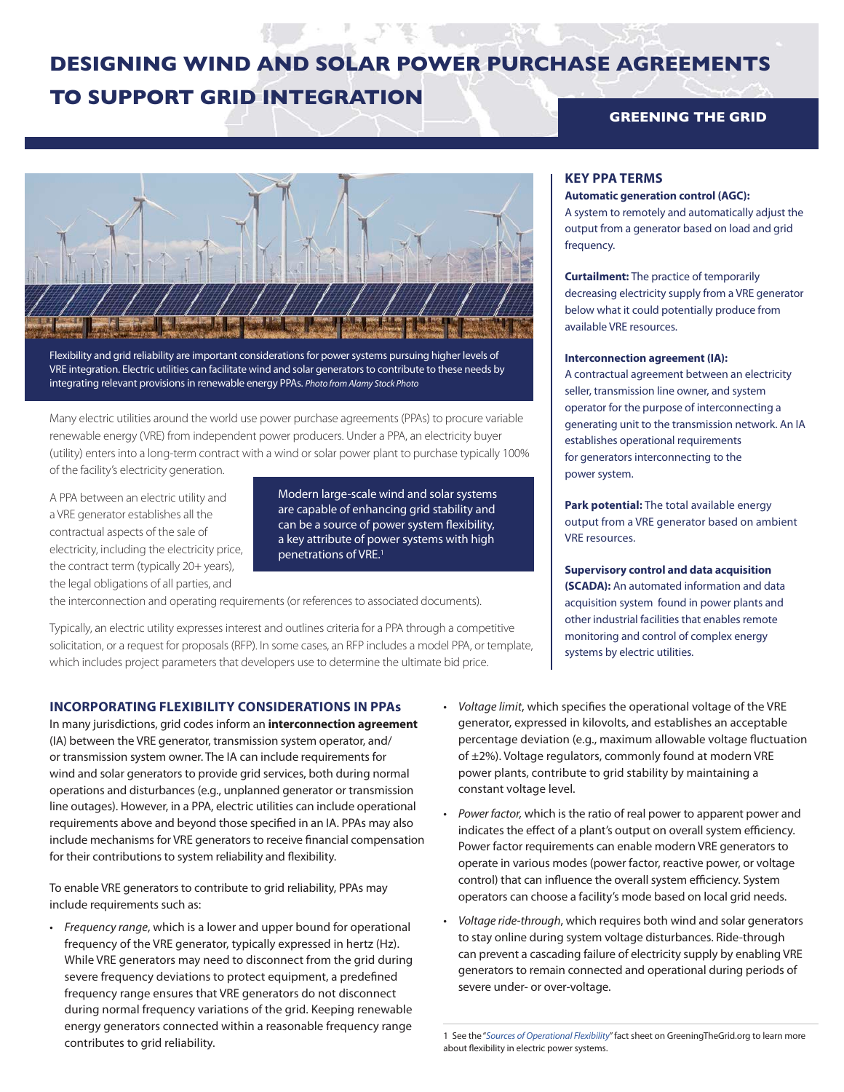# **DESIGNING WIND AND SOLAR POWER PURCHASE AGREEMENTS TO SUPPORT GRID INTEGRATION**

## **GREENING THE GRID**



Flexibility and grid reliability are important considerations for power systems pursuing higher levels of VRE integration. Electric utilities can facilitate wind and solar generators to contribute to these needs by integrating relevant provisions in renewable energy PPAs. *Photo from Alamy Stock Photo* 

Many electric utilities around the world use power purchase agreements (PPAs) to procure variable renewable energy (VRE) from independent power producers. Under a PPA, an electricity buyer (utility) enters into a long-term contract with a wind or solar power plant to purchase typically 100% of the facility's electricity generation.

A PPA between an electric utility and a VRE generator establishes all the contractual aspects of the sale of electricity, including the electricity price, the contract term (typically 20+ years), the legal obligations of all parties, and

Modern large-scale wind and solar systems are capable of enhancing grid stability and can be a source of power system flexibility, a key attribute of power systems with high penetrations of VRE.1

the interconnection and operating requirements (or references to associated documents).

Typically, an electric utility expresses interest and outlines criteria for a PPA through a competitive solicitation, or a request for proposals (RFP). In some cases, an RFP includes a model PPA, or template, which includes project parameters that developers use to determine the ultimate bid price.

#### **INCORPORATING FLEXIBILITY CONSIDERATIONS IN PPAs**

In many jurisdictions, grid codes inform an **interconnection agreement** (IA) between the VRE generator, transmission system operator, and/ or transmission system owner. The IA can include requirements for wind and solar generators to provide grid services, both during normal operations and disturbances (e.g., unplanned generator or transmission line outages). However, in a PPA, electric utilities can include operational requirements above and beyond those specified in an IA. PPAs may also include mechanisms for VRE generators to receive financial compensation for their contributions to system reliability and flexibility.

To enable VRE generators to contribute to grid reliability, PPAs may include requirements such as:

• *Frequency range*, which is a lower and upper bound for operational frequency of the VRE generator, typically expressed in hertz (Hz). While VRE generators may need to disconnect from the grid during severe frequency deviations to protect equipment, a predefined frequency range ensures that VRE generators do not disconnect during normal frequency variations of the grid. Keeping renewable energy generators connected within a reasonable frequency range contributes to grid reliability.

### • *Voltage limit*, which specifies the operational voltage of the VRE generator, expressed in kilovolts, and establishes an acceptable percentage deviation (e.g., maximum allowable voltage fluctuation of ±2%). Voltage regulators, commonly found at modern VRE power plants, contribute to grid stability by maintaining a constant voltage level.

- *Power factor,* which is the ratio of real power to apparent power and indicates the effect of a plant's output on overall system efficiency. Power factor requirements can enable modern VRE generators to operate in various modes (power factor, reactive power, or voltage control) that can influence the overall system efficiency. System operators can choose a facility's mode based on local grid needs.
- *Voltage ride-through*, which requires both wind and solar generators to stay online during system voltage disturbances. Ride-through can prevent a cascading failure of electricity supply by enabling VRE generators to remain connected and operational during periods of severe under- or over-voltage.

#### **KEY PPA TERMS**

#### **Automatic generation control (AGC):**

A system to remotely and automatically adjust the output from a generator based on load and grid frequency.

**Curtailment:** The practice of temporarily decreasing electricity supply from a VRE generator below what it could potentially produce from available VRE resources.

#### **Interconnection agreement (IA):**

A contractual agreement between an electricity seller, transmission line owner, and system operator for the purpose of interconnecting a generating unit to the transmission network. An IA establishes operational requirements for generators interconnecting to the power system.

**Park potential:** The total available energy output from a VRE generator based on ambient VRE resources.

**Supervisory control and data acquisition (SCADA):** An automated information and data acquisition system found in power plants and other industrial facilities that enables remote monitoring and control of complex energy systems by electric utilities.

<sup>1</sup> See the "*[Sources of Operational Flexibility](http://greeningthegrid.org/resources/factsheets/sources-of-operational-flexibility/)*" fact sheet on GreeningTheGrid.org to learn more about flexibility in electric power systems.